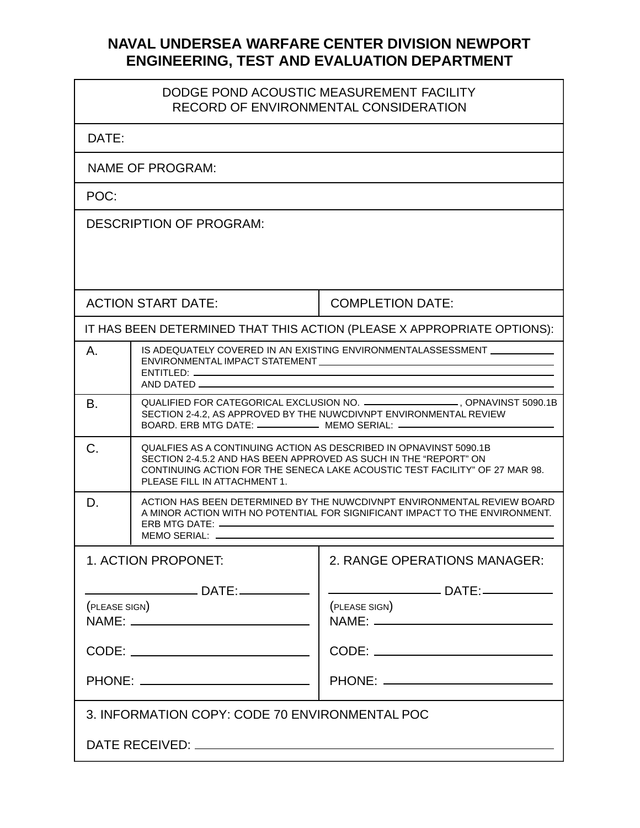## **NAVAL UNDERSEA WARFARE CENTER DIVISION NEWPORT ENGINEERING, TEST AND EVALUATION DEPARTMENT**

## DODGE POND ACOUSTIC MEASUREMENT FACILITY RECORD OF ENVIRONMENTAL CONSIDERATION

| DATE:                                                                   |                                                                                                                                                                                                                                                      |                                                                                                                                                                                                                                         |  |
|-------------------------------------------------------------------------|------------------------------------------------------------------------------------------------------------------------------------------------------------------------------------------------------------------------------------------------------|-----------------------------------------------------------------------------------------------------------------------------------------------------------------------------------------------------------------------------------------|--|
| NAME OF PROGRAM:                                                        |                                                                                                                                                                                                                                                      |                                                                                                                                                                                                                                         |  |
| POC:                                                                    |                                                                                                                                                                                                                                                      |                                                                                                                                                                                                                                         |  |
| <b>DESCRIPTION OF PROGRAM:</b>                                          |                                                                                                                                                                                                                                                      |                                                                                                                                                                                                                                         |  |
|                                                                         |                                                                                                                                                                                                                                                      |                                                                                                                                                                                                                                         |  |
| <b>ACTION START DATE:</b>                                               |                                                                                                                                                                                                                                                      | <b>COMPLETION DATE:</b>                                                                                                                                                                                                                 |  |
| IT HAS BEEN DETERMINED THAT THIS ACTION (PLEASE X APPROPRIATE OPTIONS): |                                                                                                                                                                                                                                                      |                                                                                                                                                                                                                                         |  |
| Α.                                                                      | AND DATED                                                                                                                                                                                                                                            | IS ADEQUATELY COVERED IN AN EXISTING ENVIRONMENTALASSESSMENT ____________                                                                                                                                                               |  |
| Β.                                                                      |                                                                                                                                                                                                                                                      | QUALIFIED FOR CATEGORICAL EXCLUSION NO. ___________________, OPNAVINST 5090.1B<br>SECTION 2-4.2, AS APPROVED BY THE NUWCDIVNPT ENVIRONMENTAL REVIEW<br>BOARD. ERB MTG DATE: ________________ MEMO SERIAL: _____________________________ |  |
| C.                                                                      | QUALFIES AS A CONTINUING ACTION AS DESCRIBED IN OPNAVINST 5090.1B<br>SECTION 2-4.5.2 AND HAS BEEN APPROVED AS SUCH IN THE "REPORT" ON<br>CONTINUING ACTION FOR THE SENECA LAKE ACOUSTIC TEST FACILITY" OF 27 MAR 98.<br>PLEASE FILL IN ATTACHMENT 1. |                                                                                                                                                                                                                                         |  |
| D.                                                                      | ACTION HAS BEEN DETERMINED BY THE NUWCDIVNPT ENVIRONMENTAL REVIEW BOARD<br>A MINOR ACTION WITH NO POTENTIAL FOR SIGNIFICANT IMPACT TO THE ENVIRONMENT.<br>MEMO SERIAL: ______                                                                        |                                                                                                                                                                                                                                         |  |
| 1. ACTION PROPONET:                                                     |                                                                                                                                                                                                                                                      | 2. RANGE OPERATIONS MANAGER:                                                                                                                                                                                                            |  |
| (PLEASE SIGN)<br>CODE: _______________________________                  |                                                                                                                                                                                                                                                      | (PLEASE SIGN)<br>CODE: _____________________________                                                                                                                                                                                    |  |
|                                                                         |                                                                                                                                                                                                                                                      |                                                                                                                                                                                                                                         |  |
| 3. INFORMATION COPY: CODE 70 ENVIRONMENTAL POC                          |                                                                                                                                                                                                                                                      |                                                                                                                                                                                                                                         |  |
|                                                                         |                                                                                                                                                                                                                                                      |                                                                                                                                                                                                                                         |  |